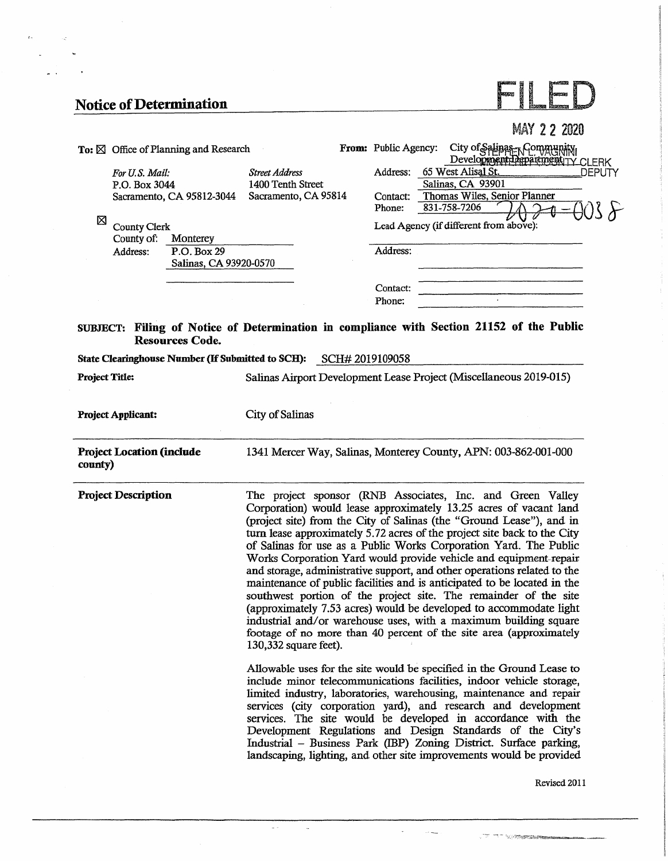$\mathbf{r}$ 

. iz  $\ddot{\phantom{0}}$ 

 $\mathbb{R}^{\mathbb{Z}}$ 

## **Notice of Determination**

|                                                                                                                     |                                                                    |                                | <b>MAY 22 2020</b>                                                                                                                                                                                                                                                                                                                                                                                                                                                                                                                                                                                                                                                                                                                                                                                                                                                                                                                                                                                                                                                                                                                                                  |
|---------------------------------------------------------------------------------------------------------------------|--------------------------------------------------------------------|--------------------------------|---------------------------------------------------------------------------------------------------------------------------------------------------------------------------------------------------------------------------------------------------------------------------------------------------------------------------------------------------------------------------------------------------------------------------------------------------------------------------------------------------------------------------------------------------------------------------------------------------------------------------------------------------------------------------------------------------------------------------------------------------------------------------------------------------------------------------------------------------------------------------------------------------------------------------------------------------------------------------------------------------------------------------------------------------------------------------------------------------------------------------------------------------------------------|
| To: $\boxtimes$ Office of Planning and Research                                                                     |                                                                    | From: Public Agency:           | City of Salinas-Rommunity                                                                                                                                                                                                                                                                                                                                                                                                                                                                                                                                                                                                                                                                                                                                                                                                                                                                                                                                                                                                                                                                                                                                           |
| For U.S. Mail:<br>P.O. Box 3044<br>Sacramento, CA 95812-3044<br>⊠                                                   | <b>Street Address</b><br>1400 Tenth Street<br>Sacramento, CA 95814 | Address:<br>Contact:<br>Phone: | 65 West Alisal St.<br>DEPUTY<br>Salinas, CA 93901<br>Thomas Wiles, Senior Planner<br>831-758-7206<br>Lead Agency (if different from above):                                                                                                                                                                                                                                                                                                                                                                                                                                                                                                                                                                                                                                                                                                                                                                                                                                                                                                                                                                                                                         |
| <b>County Clerk</b><br>County of:<br>Monterey                                                                       |                                                                    |                                |                                                                                                                                                                                                                                                                                                                                                                                                                                                                                                                                                                                                                                                                                                                                                                                                                                                                                                                                                                                                                                                                                                                                                                     |
| Address:<br>P.O. Box 29<br>Salinas, CA 93920-0570                                                                   |                                                                    | Address:                       |                                                                                                                                                                                                                                                                                                                                                                                                                                                                                                                                                                                                                                                                                                                                                                                                                                                                                                                                                                                                                                                                                                                                                                     |
|                                                                                                                     |                                                                    | Contact:<br>Phone:             |                                                                                                                                                                                                                                                                                                                                                                                                                                                                                                                                                                                                                                                                                                                                                                                                                                                                                                                                                                                                                                                                                                                                                                     |
| SUBJECT: Filing of Notice of Determination in compliance with Section 21152 of the Public<br><b>Resources Code.</b> |                                                                    |                                |                                                                                                                                                                                                                                                                                                                                                                                                                                                                                                                                                                                                                                                                                                                                                                                                                                                                                                                                                                                                                                                                                                                                                                     |
| State Clearinghouse Number (If Submitted to SCH): SCH# 2019109058                                                   |                                                                    |                                |                                                                                                                                                                                                                                                                                                                                                                                                                                                                                                                                                                                                                                                                                                                                                                                                                                                                                                                                                                                                                                                                                                                                                                     |
| <b>Project Title:</b>                                                                                               |                                                                    |                                | Salinas Airport Development Lease Project (Miscellaneous 2019-015)                                                                                                                                                                                                                                                                                                                                                                                                                                                                                                                                                                                                                                                                                                                                                                                                                                                                                                                                                                                                                                                                                                  |
| <b>Project Applicant:</b>                                                                                           | City of Salinas                                                    |                                |                                                                                                                                                                                                                                                                                                                                                                                                                                                                                                                                                                                                                                                                                                                                                                                                                                                                                                                                                                                                                                                                                                                                                                     |
| <b>Project Location (include</b><br>county)                                                                         |                                                                    |                                | 1341 Mercer Way, Salinas, Monterey County, APN: 003-862-001-000                                                                                                                                                                                                                                                                                                                                                                                                                                                                                                                                                                                                                                                                                                                                                                                                                                                                                                                                                                                                                                                                                                     |
| <b>Project Description</b>                                                                                          | 130,332 square feet).                                              |                                | The project sponsor (RNB Associates, Inc. and Green Valley<br>Corporation) would lease approximately 13.25 acres of vacant land<br>(project site) from the City of Salinas (the "Ground Lease"), and in<br>turn lease approximately 5.72 acres of the project site back to the City<br>of Salinas for use as a Public Works Corporation Yard. The Public<br>Works Corporation Yard would provide vehicle and equipment repair<br>and storage, administrative support, and other operations related to the<br>maintenance of public facilities and is anticipated to be located in the<br>southwest portion of the project site. The remainder of the site<br>(approximately 7.53 acres) would be developed to accommodate light<br>industrial and/or warehouse uses, with a maximum building square<br>footage of no more than 40 percent of the site area (approximately<br>Allowable uses for the site would be specified in the Ground Lease to<br>include minor telecommunications facilities, indoor vehicle storage,<br>limited industry, laboratories, warehousing, maintenance and repair<br>services (city corporation yard), and research and development |

 $\bar{\omega}$ 

 $\bar{u}$ 

services. The site would be developed in accordance with the Development Regulations and Design Standards of the City's Industrial - Business Park (IBP) Zoning District. Surface parking, landscaping, lighting, and other site improvements would be provided

 $\mathcal{L}_{\mathcal{A}}$ 

 $\sim$  100  $\mu$  masses

TT VESSES